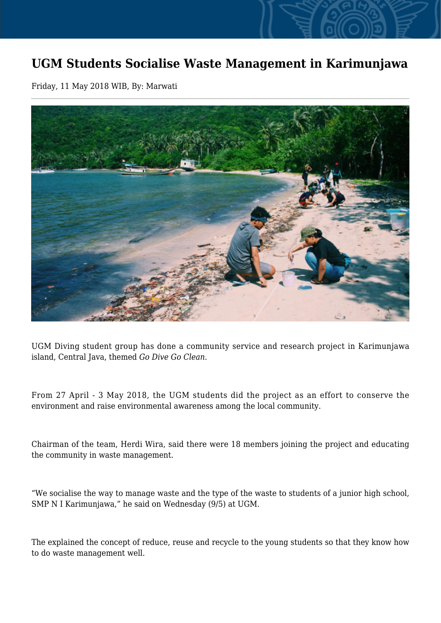## **UGM Students Socialise Waste Management in Karimunjawa**

Friday, 11 May 2018 WIB, By: Marwati



UGM Diving student group has done a community service and research project in Karimunjawa island, Central Java, themed *Go Dive Go Clean.*

From 27 April - 3 May 2018, the UGM students did the project as an effort to conserve the environment and raise environmental awareness among the local community.

Chairman of the team, Herdi Wira, said there were 18 members joining the project and educating the community in waste management.

"We socialise the way to manage waste and the type of the waste to students of a junior high school, SMP N I Karimunjawa," he said on Wednesday (9/5) at UGM.

The explained the concept of reduce, reuse and recycle to the young students so that they know how to do waste management well.